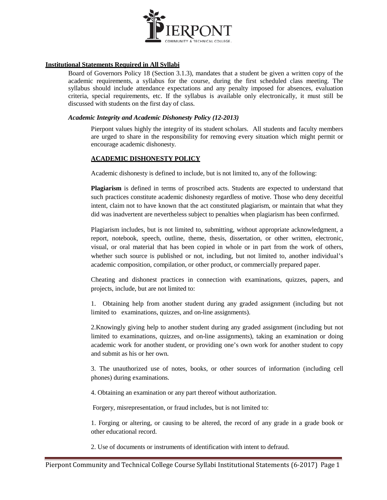

# **Institutional Statements Required in All Syllabi**

Board of Governors Policy 18 (Section 3.1.3), mandates that a student be given a written copy of the academic requirements, a syllabus for the course, during the first scheduled class meeting. The syllabus should include attendance expectations and any penalty imposed for absences, evaluation criteria, special requirements, etc. If the syllabus is available only electronically, it must still be discussed with students on the first day of class.

## *Academic Integrity and Academic Dishonesty Policy (12-2013)*

Pierpont values highly the integrity of its student scholars. All students and faculty members are urged to share in the responsibility for removing every situation which might permit or encourage academic dishonesty.

# **ACADEMIC DISHONESTY POLICY**

Academic dishonesty is defined to include, but is not limited to, any of the following:

**Plagiarism** is defined in terms of proscribed acts. Students are expected to understand that such practices constitute academic dishonesty regardless of motive. Those who deny deceitful intent, claim not to have known that the act constituted plagiarism, or maintain that what they did was inadvertent are nevertheless subject to penalties when plagiarism has been confirmed.

Plagiarism includes, but is not limited to, submitting, without appropriate acknowledgment, a report, notebook, speech, outline, theme, thesis, dissertation, or other written, electronic, visual, or oral material that has been copied in whole or in part from the work of others, whether such source is published or not, including, but not limited to, another individual's academic composition, compilation, or other product, or commercially prepared paper.

Cheating and dishonest practices in connection with examinations, quizzes, papers, and projects, include, but are not limited to:

1. Obtaining help from another student during any graded assignment (including but not limited to examinations, quizzes, and on-line assignments).

2.Knowingly giving help to another student during any graded assignment (including but not limited to examinations, quizzes, and on-line assignments), taking an examination or doing academic work for another student, or providing one's own work for another student to copy and submit as his or her own.

3. The unauthorized use of notes, books, or other sources of information (including cell phones) during examinations.

4. Obtaining an examination or any part thereof without authorization.

Forgery, misrepresentation, or fraud includes, but is not limited to:

1. Forging or altering, or causing to be altered, the record of any grade in a grade book or other educational record.

2. Use of documents or instruments of identification with intent to defraud.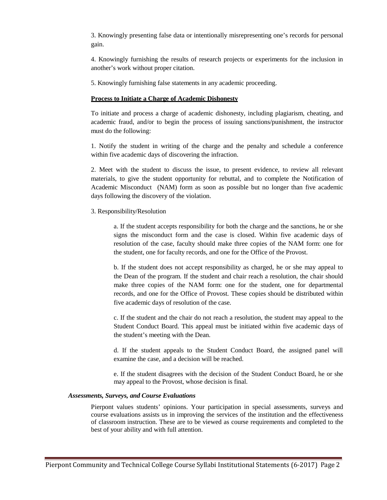3. Knowingly presenting false data or intentionally misrepresenting one's records for personal gain.

4. Knowingly furnishing the results of research projects or experiments for the inclusion in another's work without proper citation.

5. Knowingly furnishing false statements in any academic proceeding.

## **Process to Initiate a Charge of Academic Dishonesty**

To initiate and process a charge of academic dishonesty, including plagiarism, cheating, and academic fraud, and/or to begin the process of issuing sanctions/punishment, the instructor must do the following:

1. Notify the student in writing of the charge and the penalty and schedule a conference within five academic days of discovering the infraction.

2. Meet with the student to discuss the issue, to present evidence, to review all relevant materials, to give the student opportunity for rebuttal, and to complete the Notification of Academic Misconduct (NAM) form as soon as possible but no longer than five academic days following the discovery of the violation.

## 3. Responsibility/Resolution

a. If the student accepts responsibility for both the charge and the sanctions, he or she signs the misconduct form and the case is closed. Within five academic days of resolution of the case, faculty should make three copies of the NAM form: one for the student, one for faculty records, and one for the Office of the Provost.

b. If the student does not accept responsibility as charged, he or she may appeal to the Dean of the program. If the student and chair reach a resolution, the chair should make three copies of the NAM form: one for the student, one for departmental records, and one for the Office of Provost. These copies should be distributed within five academic days of resolution of the case.

c. If the student and the chair do not reach a resolution, the student may appeal to the Student Conduct Board. This appeal must be initiated within five academic days of the student's meeting with the Dean.

d. If the student appeals to the Student Conduct Board, the assigned panel will examine the case, and a decision will be reached.

e. If the student disagrees with the decision of the Student Conduct Board, he or she may appeal to the Provost, whose decision is final.

### *Assessments, Surveys, and Course Evaluations*

Pierpont values students' opinions. Your participation in special assessments, surveys and course evaluations assists us in improving the services of the institution and the effectiveness of classroom instruction. These are to be viewed as course requirements and completed to the best of your ability and with full attention.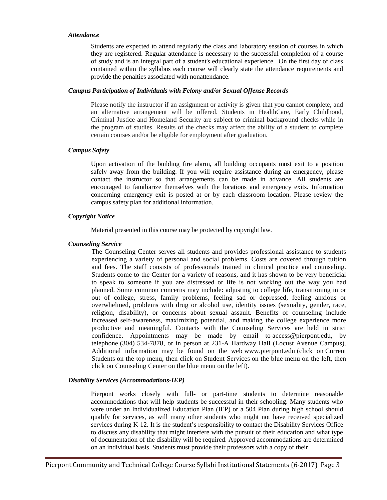#### *Attendance*

Students are expected to attend regularly the class and laboratory session of courses in which they are registered. Regular attendance is necessary to the successful completion of a course of study and is an integral part of a student's educational experience. On the first day of class contained within the syllabus each course will clearly state the attendance requirements and provide the penalties associated with nonattendance.

### *Campus Participation of Individuals with Felony and/or Sexual Offense Records*

Please notify the instructor if an assignment or activity is given that you cannot complete, and an alternative arrangement will be offered. Students in HealthCare, Early Childhood, Criminal Justice and Homeland Security are subject to criminal background checks while in the program of studies. Results of the checks may affect the ability of a student to complete certain courses and/or be eligible for employment after graduation.

### *Campus Safety*

Upon activation of the building fire alarm, all building occupants must exit to a position safely away from the building. If you will require assistance during an emergency, please contact the instructor so that arrangements can be made in advance. All students are encouraged to familiarize themselves with the locations and emergency exits. Information concerning emergency exit is posted at or by each classroom location. Please review the campus safety plan for additional information.

## *Copyright Notice*

Material presented in this course may be protected by copyright law.

## *Counseling Service*

The Counseling Center serves all students and provides professional assistance to students experiencing a variety of personal and social problems. Costs are covered through tuition and fees. The staff consists of professionals trained in clinical practice and counseling. Students come to the Center for a variety of reasons, and it has shown to be very beneficial to speak to someone if you are distressed or life is not working out the way you had planned. Some common concerns may include: adjusting to college life, transitioning in or out of college, stress, family problems, feeling sad or depressed, feeling anxious or overwhelmed, problems with drug or alcohol use, identity issues (sexuality, gender, race, religion, disability), or concerns about sexual assault. Benefits of counseling include increased self-awareness, maximizing potential, and making the college experience more productive and meaningful. Contacts with the Counseling Services are held in strict confidence. Appointments may be made by email to [access@pierpont.edu,](mailto:access@pierpont.edu) by telephone [\(304\) 534-7878,](tel:(304)%20534-7878) or in person at 231-A Hardway Hall (Locust Avenue Campus). Additional information may be found on the web [www.pierpont.edu](http://www.pierpont.edu/) (click on Current Students on the top menu, then click on Student Services on the blue menu on the left, then click on Counseling Center on the blue menu on the left).

### *Disability Services (Accommodations-IEP)*

Pierpont works closely with full- or part-time students to determine reasonable accommodations that will help students be successful in their schooling. Many students who were under an Individualized Education Plan (IEP) or a 504 Plan during high school should qualify for services, as will many other students who might not have received specialized services during K-12. It is the student's responsibility to contact the Disability Services Office to discuss any disability that might interfere with the pursuit of their education and what type of documentation of the disability will be required. Approved accommodations are determined on an individual basis. Students must provide their professors with a copy of their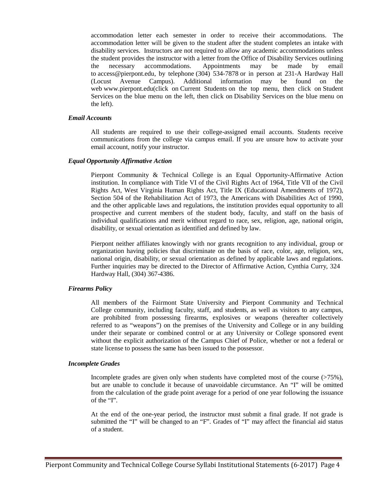accommodation letter each semester in order to receive their accommodations. The accommodation letter will be given to the student after the student completes an intake with disability services. Instructors are not required to allow any academic accommodations unless the student provides the instructor with a letter from the Office of Disability Services outlining the necessary accommodations. Appointments may be made by email to [access@pierpont.edu,](mailto:access@pierpont.edu) by telephone [\(304\) 534-7878](tel:(304)%20534-7878) or in person at 231-A Hardway Hall (Locust Avenue Campus). Additional information may be found on the web [www.pierpont.edu\(](http://www.pierpont.edu/)click on Current Students on the top menu, then click on Student Services on the blue menu on the left, then click on Disability Services on the blue menu on the left).

#### *Email Accounts*

All students are required to use their college-assigned email accounts. Students receive communications from the college via campus email. If you are unsure how to activate your email account, notify your instructor.

#### *Equal Opportunity Affirmative Action*

Pierpont Community & Technical College is an Equal Opportunity-Affirmative Action institution. In compliance with Title VI of the Civil Rights Act of 1964, Title VII of the Civil Rights Act, West Virginia Human Rights Act, Title IX (Educational Amendments of 1972), Section 504 of the Rehabilitation Act of 1973, the Americans with Disabilities Act of 1990, and the other applicable laws and regulations, the institution provides equal opportunity to all prospective and current members of the student body, faculty, and staff on the basis of individual qualifications and merit without regard to race, sex, religion, age, national origin, disability, or sexual orientation as identified and defined by law.

Pierpont neither affiliates knowingly with nor grants recognition to any individual, group or organization having policies that discriminate on the basis of race, color, age, religion, sex, national origin, disability, or sexual orientation as defined by applicable laws and regulations. Further inquiries may be directed to the Director of Affirmative Action, Cynthia Curry, 324 Hardway Hall, (304) 367-4386.

### *Firearms Policy*

All members of the Fairmont State University and Pierpont Community and Technical College community, including faculty, staff, and students, as well as visitors to any campus, are prohibited from possessing firearms, explosives or weapons (hereafter collectively referred to as "weapons") on the premises of the University and College or in any building under their separate or combined control or at any University or College sponsored event without the explicit authorization of the Campus Chief of Police, whether or not a federal or state license to possess the same has been issued to the possessor.

### *Incomplete Grades*

Incomplete grades are given only when students have completed most of the course (>75%), but are unable to conclude it because of unavoidable circumstance. An "I" will be omitted from the calculation of the grade point average for a period of one year following the issuance of the "I".

At the end of the one-year period, the instructor must submit a final grade. If not grade is submitted the "I" will be changed to an "F". Grades of "I" may affect the financial aid status of a student.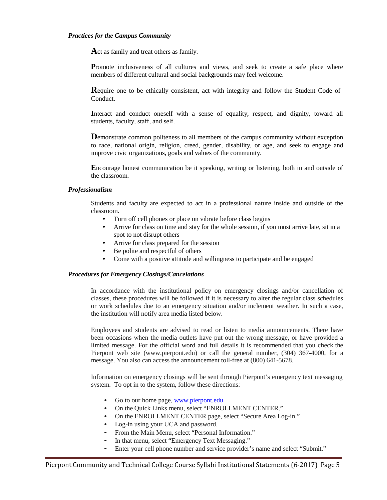#### *Practices for the Campus Community*

Act as family and treat others as family.

**Promote** inclusiveness of all cultures and views, and seek to create a safe place where members of different cultural and social backgrounds may feel welcome.

**R**equire one to be ethically consistent, act with integrity and follow the Student Code of Conduct.

**I**nteract and conduct oneself with a sense of equality, respect, and dignity, toward all students, faculty, staff, and self.

**D**emonstrate common politeness to all members of the campus community without exception to race, national origin, religion, creed, gender, disability, or age, and seek to engage and improve civic organizations, goals and values of the community.

**E**ncourage honest communication be it speaking, writing or listening, both in and outside of the classroom.

### *Professionalism*

Students and faculty are expected to act in a professional nature inside and outside of the classroom.

- Turn off cell phones or place on vibrate before class begins
- Arrive for class on time and stay for the whole session, if you must arrive late, sit in a spot to not disrupt others
- Arrive for class prepared for the session
- Be polite and respectful of others
- Come with a positive attitude and willingness to participate and be engaged

### *Procedures for Emergency Closings/Cancelations*

In accordance with the institutional policy on emergency closings and/or cancellation of classes, these procedures will be followed if it is necessary to alter the regular class schedules or work schedules due to an emergency situation and/or inclement weather. In such a case, the institution will notify area media listed below.

Employees and students are advised to read or listen to media announcements. There have been occasions when the media outlets have put out the wrong message, or have provided a limited message. For the official word and full details it is recommended that you check the Pierpont web site (www.pierpont.edu) or call the general number, (304) 367-4000, for a message. You also can access the announcement toll-free at (800) 641-5678.

Information on emergency closings will be sent through Pierpont's emergency text messaging system. To opt in to the system, follow these directions:

- Go to our home page, [www.pierpont.edu](http://www.pierpont.edu/)
- On the Quick Links menu, select "ENROLLMENT CENTER."
- On the ENROLLMENT CENTER page, select "Secure Area Log-in."
- Log-in using your UCA and password.
- From the Main Menu, select "Personal Information."
- In that menu, select "Emergency Text Messaging."
- Enter your cell phone number and service provider's name and select "Submit."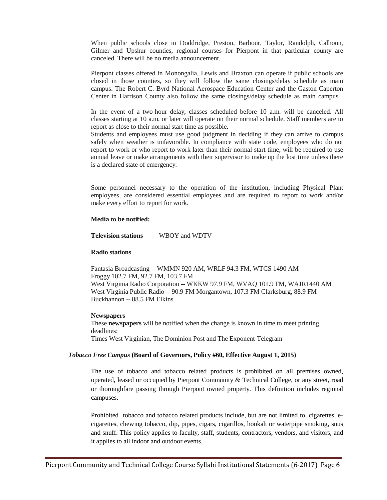When public schools close in Doddridge, Preston, Barbour, Taylor, Randolph, Calhoun, Gilmer and Upshur counties, regional courses for Pierpont in that particular county are canceled. There will be no media announcement.

Pierpont classes offered in Monongalia, Lewis and Braxton can operate if public schools are closed in those counties, so they will follow the same closings/delay schedule as main campus. The Robert C. Byrd National Aerospace Education Center and the Gaston Caperton Center in Harrison County also follow the same closings/delay schedule as main campus.

In the event of a two-hour delay, classes scheduled before 10 a.m. will be canceled. All classes starting at 10 a.m. or later will operate on their normal schedule. Staff members are to report as close to their normal start time as possible.

Students and employees must use good judgment in deciding if they can arrive to campus safely when weather is unfavorable. In compliance with state code, employees who do not report to work or who report to work later than their normal start time, will be required to use annual leave or make arrangements with their supervisor to make up the lost time unless there is a declared state of emergency.

Some personnel necessary to the operation of the institution, including Physical Plant employees, are considered essential employees and are required to report to work and/or make every effort to report for work.

#### **Media to be notified:**

**Television stations** WBOY and WDTV

#### **Radio stations**

Fantasia Broadcasting -- WMMN 920 AM, WRLF 94.3 FM, WTCS 1490 AM Froggy 102.7 FM, 92.7 FM, 103.7 FM West Virginia Radio Corporation -- WKKW 97.9 FM, WVAQ 101.9 FM, WAJR1440 AM West Virginia Public Radio -- 90.9 FM Morgantown, 107.3 FM Clarksburg, 88.9 FM Buckhannon -- 88.5 FM Elkins

### **Newspapers**

These **newspapers** will be notified when the change is known in time to meet printing deadlines: Times West Virginian, The Dominion Post and The Exponent-Telegram

### *Tobacco Free Campus* **(Board of Governors, Policy #60, Effective August 1, 2015)**

The use of tobacco and tobacco related products is prohibited on all premises owned, operated, leased or occupied by Pierpont Community & Technical College, or any street, road or thoroughfare passing through Pierpont owned property. This definition includes regional campuses.

Prohibited tobacco and tobacco related products include, but are not limited to, cigarettes, ecigarettes, chewing tobacco, dip, pipes, cigars, cigarillos, hookah or waterpipe smoking, snus and snuff. This policy applies to faculty, staff, students, contractors, vendors, and visitors, and it applies to all indoor and outdoor events.